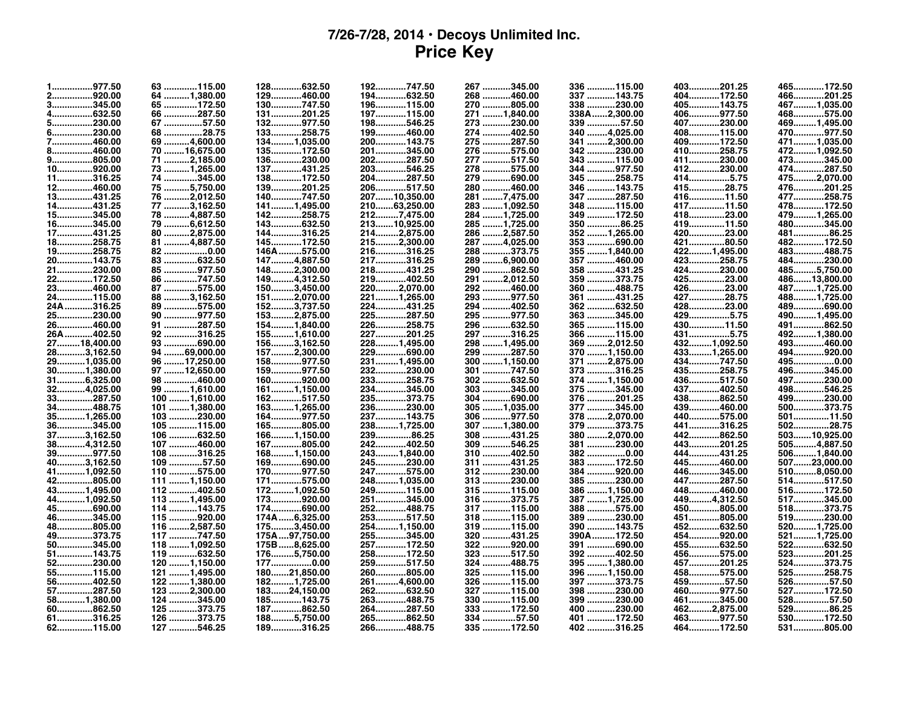## **7/26-7/28, 2014 • Decoys Unlimited Inc. Price Key**

| 1977.50     | 63 115.00       | 128632.50     | 192747.50    | 267 345.00    | 336 115.00    | 403201.25   | 465172.50              |
|-------------|-----------------|---------------|--------------|---------------|---------------|-------------|------------------------|
| 2920.00     | 64 1,380.00     | 129460.00     | 194632.50    | 268 460.00    | 337 143.75    | 404172.50   | 466201.25              |
| 3345.00     | 65 172.50       | 130747.50     | 196115.00    | 270 805.00    | 338 230.00    | 405143.75   | 4671,035.00            |
| 4632.50     | 66 287.50       | 131201.25     | 197115.00    | 271 1,840.00  | 338A2,300.00  | 406977.50   | 468575.00              |
| 5230.00     | 67 57.50        | 132977.50     | 198546.25    | 273 230.00    | 339 57.50     | 407230.00   | 4691,495.00            |
| 6230.00     | 68 28.75        | 133258.75     | 199460.00    | 274 402.50    | 340 4,025.00  | 408115.00   | 470977.50              |
| 7460.00     | 69 4,600.00     | 1341,035.00   | 200143.75    | 275 287.50    | 341 2,300.00  | 409172.50   | 4711,035.00            |
| 8460.00     | 70 16,675.00    | 135172.50     | 201345.00    | 276 575.00    | 342 230.00    | 410258.75   | 4721,092.50            |
| 9805.00     | 71 2,185.00     | 136230.00     | 202287.50    | 277 517.50    | 343  115.00   | 411230.00   | 473345.00              |
| 10920.00    | 73 1,265.00     | 137431.25     | 203546.25    | 278 575.00    | 344 977.50    | 412230.00   | 474287.50              |
| 11316.25    | 74 345.00       | 138172.50     | 204287.50    | 279 690.00    | 345 258.75    | 4145.75     | 4752,070.00            |
| 12460.00    | 75 5,750.00     | 139201.25     | 206517.50    | 280 460.00    | 346 143.75    | 41528.75    | 476201.25              |
| 13431.25    |                 | 140747.50     |              | 2817,475.00   |               | 41611.50    |                        |
|             | 76 2,012.50     |               | 20710,350.00 |               | 347 287.50    |             | 477258.75<br>478172.50 |
| 14431.25    | 77 3,162.50     | 1411,495.00   | 21063,250.00 | 283 1,092.50  | 348 115.00    | 41711.50    |                        |
| 15345.00    | 78 4,887.50     | 142258.75     | 2127,475.00  | 284 1,725.00  | 349 172.50    | 41823.00    | 4791,265.00            |
| 16345.00    | 79 6,612.50     | 143632.50     | 21310,925.00 | 285 1,725.00  | 350 86.25     | 41911.50    | 480345.00              |
| 17431.25    | 80 2,875.00     | 144316.25     | 2142,875.00  | 286 2,587.50  | 352  1,265.00 | 42023.00    | 48186.25               |
| 18258.75    | 81 4,887.50     | 145172.50     | 2152,300.00  | 287 4,025.00  | 353 690.00    | 42180.50    | 482172.50              |
| 19258.75    | 82 0.00         | 146A575.00    | 216316.25    | 288 373.75    | 355  1,840.00 | 4221,495.00 | 483488.75              |
| 20143.75    | 83 632.50       | 1474,887.50   | 217316.25    | 289 6,900.00  | 357 460.00    | 423258.75   | 484230.00              |
| 21230.00    | 85 977.50       | 1482,300.00   | 218431.25    | 290 862.50    | 358 431.25    | 424230.00   | 4855,750.00            |
| 22172.50    | 86 747.50       | 1494,312.50   | 219402.50    | 291 2,012.50  | 359 373.75    | 42523.00    | 48613,800.00           |
| 23460.00    | 87 575.00       | 1503,450.00   | 2202,070.00  | 292<br>460.00 | 360 488.75    | 42623.00    | 4871,725.00            |
| 24115.00    | 88 3,162.50     | 1512,070.00   | 2211,265.00  | 293 977.50    | 361 431.25    | 42728.75    | 4881,725.00            |
| 24A316.25   | 89 575.00       | 1523,737.50   | 224431.25    | 294 402.50    | 362 632.50    | 42823.00    | 489690.00              |
| 25230.00    | 90 977.50       | 1532,875.00   | 225287.50    | 295 977.50    | 363 345.00    | 4295.75     | 4901,495.00            |
| 26460.00    | 91 287.50       | 1541,840.00   | 226258.75    | 296 632.50    | 365 115.00    | 43011.50    | 491862.50              |
| 26A 402.50  | 92 316.25       | 1551,610.00   | 227201.25    | 297 316.25    | 366 115.00    | 4315.75     | 4921,380.00            |
| 2718,400.00 | 93 690.00       | 1563,162.50   | 2281,495.00  | 298 1,495.00  | 369 2,012.50  | 4321,092.50 | 493460.00              |
| 283,162.50  | 94 69,000.00    | 1572,300.00   | 229690.00    | 299 287.50    | 370  1,150.00 | 4331,265.00 | 494920.00              |
| 291,035.00  | 96 17,250.00    | 158977.50     | 2311,495.00  | 300 1,150.00  | 371 2,875.00  | 434747.50   | 4950.00                |
| 301,380.00  | 97 12,650.00    | 159977.50     | 232230.00    | 301 747.50    | 373 316.25    | 435258.75   | 496345.00              |
| 316,325.00  | 98 460.00       | 160920.00     | 233258.75    | 302 632.50    | 374 1,150.00  | 436517.50   | 497230.00              |
| 324,025.00  | 99  1,610.00    | 1611,150.00   | 234345.00    | 303 345.00    | 375 345.00    | 437402.50   | 498546.25              |
| 33287.50    | 100  1,610.00   | 162517.50     | 235373.75    | 304 690.00    | 376 201.25    | 438862.50   | 499230.00              |
| 34488.75    | 101  1,380.00   | 1631,265.00   | 236230.00    | 305  1,035.00 | 377 345.00    | 439460.00   | 500373.75              |
| 351,265.00  | 103 230.00      | 164977.50     | 237143.75    | 306 977.50    | 378 2,070.00  | 440575.00   | 50111.50               |
| 36345.00    | 105 115.00      | 165805.00     | 2381,725.00  | 307 1,380.00  | 379 373.75    | 441316.25   | 50228.75               |
| 373,162.50  | 106<br>632.50   | 1661,150.00   | 23986.25     | 308 431.25    | 380 2,070.00  | 442862.50   | 50310,925.00           |
| 384,312.50  | 107 460.00      | 167805.00     | 242402.50    | 309 546.25    | 381 230.00    | 443201.25   | 5054,887.50            |
| 39977.50    | 316.25<br>108   | 1681,150.00   | 2431,840.00  | 310 402.50    | 382 0.00      | 444431.25   | 5061,840.00            |
| 403,162.50  | 109 57.50       | 169690.00     | 245230.00    | 311 431.25    | 383 172.50    | 445460.00   | 50723,000.00           |
| 411,092.50  | 110 575.00      | 170977.50     | 247575.00    | 312 230.00    | 384 920.00    | 446345.00   | 5108,050.00            |
| 42805.00    | 111 1,150.00    | 171575.00     |              | 313 230.00    | 385 230.00    | 447287.50   | 514517.50              |
|             |                 |               | 2481,035.00  |               |               |             |                        |
| 431,495.00  | 112 402.50      | 1721,092.50   | 249115.00    | 315 115.00    | 386 1,150.00  | 448460.00   | 516172.50              |
| 441,092.50  | 113 1,495.00    | 173920.00     | 251345.00    | 316 373.75    | 387 1,725.00  | 4494,312.50 | 517345.00              |
| 45690.00    | 114 143.75      | 174690.00     | 252488.75    | 317 115.00    | 388 575.00    | 450805.00   | 518373.75              |
| 46345.00    | 115 920.00      | 174A6,325.00  | 253517.50    | 318 115.00    | 389 230.00    | 451805.00   | 519230.00              |
| 48805.00    | 116 2,587.50    | 1753,450.00   | 2541,150.00  | 319 115.00    | 390  143.75   | 452632.50   | 5201,725.00            |
| 49373.75    | 117 747.50      | 175A97,750.00 | 255345.00    | 320 431.25    | 390A172.50    | 454920.00   | 5211,725.00            |
| 50345.00    | 118  1,092.50   | 175B8,625.00  | 257172.50    | 322 920.00    | 391 690.00    | 455632.50   | 522632.50              |
| 51143.75    | 119 632.50      | 1765,750.00   | 258172.50    | 323<br>517.50 | 392 402.50    | 456575.00   | 523201.25              |
| 52230.00    | 120 1,150.00    | 1770.00       | 259517.50    | 324 488.75    | 395  1,380.00 | 457201.25   | 524373.75              |
| 55115.00    | 121 1,495.00    | 18021,850.00  | 260805.00    | 325 115.00    | 396  1,150.00 | 458575.00   | 525258.75              |
| 56402.50    | 122  1,380.00   | 1821,725.00   | 2614,600.00  | 326 115.00    | 397 373.75    | 45957.50    | 52657.50               |
| 57287.50    | 2,300.00<br>123 | 18324,150.00  | 262632.50    | 327<br>115.00 | 398 230.00    | 460977.50   | 527172.50              |
| 581,380.00  | 124 345.00      | 185143.75     | 263488.75    | 330 115.00    | 399 230.00    | 461345.00   | 52857.50               |
| 60 862.50   | 125 373.75      | 187862.50     | 264287.50    | 333 172.50    | 400 230.00    | 4622,875.00 | 52986.25               |
| 61316.25    | 126 373.75      | 1885,750.00   | 265862.50    | 334 57.50     | 401 172.50    | 463977.50   | 530172.50              |
| 62115.00    | 127 546.25      | 189316.25     | 266488.75    | 335 172.50    | 402 316.25    | 464172.50   | 531805.00              |